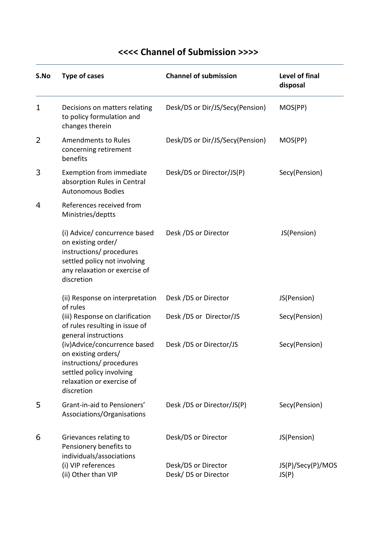| S.No | <b>Type of cases</b>                                                                                                                                                           | <b>Channel of submission</b>               | Level of final<br>disposal |
|------|--------------------------------------------------------------------------------------------------------------------------------------------------------------------------------|--------------------------------------------|----------------------------|
| 1    | Decisions on matters relating<br>to policy formulation and<br>changes therein                                                                                                  | Desk/DS or Dir/JS/Secy(Pension)            | MOS(PP)                    |
| 2    | <b>Amendments to Rules</b><br>concerning retirement<br>benefits                                                                                                                | Desk/DS or Dir/JS/Secy(Pension)            | MOS(PP)                    |
| 3    | Exemption from immediate<br>absorption Rules in Central<br><b>Autonomous Bodies</b>                                                                                            | Desk/DS or Director/JS(P)                  | Secy(Pension)              |
| 4    | References received from<br>Ministries/deptts                                                                                                                                  |                                            |                            |
|      | (i) Advice/ concurrence based<br>on existing order/<br>instructions/ procedures<br>settled policy not involving<br>any relaxation or exercise of<br>discretion                 | Desk /DS or Director                       | JS(Pension)                |
|      | (ii) Response on interpretation                                                                                                                                                | Desk /DS or Director                       | JS(Pension)                |
|      | of rules<br>(iii) Response on clarification<br>of rules resulting in issue of                                                                                                  | Desk /DS or Director/JS                    | Secy(Pension)              |
|      | general instructions<br>(iv)Advice/concurrence based<br>on existing orders/<br>instructions/ procedures<br>settled policy involving<br>relaxation or exercise of<br>discretion | Desk /DS or Director/JS                    | Secy(Pension)              |
| 5    | Grant-in-aid to Pensioners'<br>Associations/Organisations                                                                                                                      | Desk /DS or Director/JS(P)                 | Secy(Pension)              |
| 6    | Grievances relating to<br>Pensionery benefits to<br>individuals/associations                                                                                                   | Desk/DS or Director                        | JS(Pension)                |
|      | (i) VIP references<br>(ii) Other than VIP                                                                                                                                      | Desk/DS or Director<br>Desk/DS or Director | JS(P)/Secy(P)/MOS<br>JS(P) |

## **<<<< Channel of Submission >>>>**